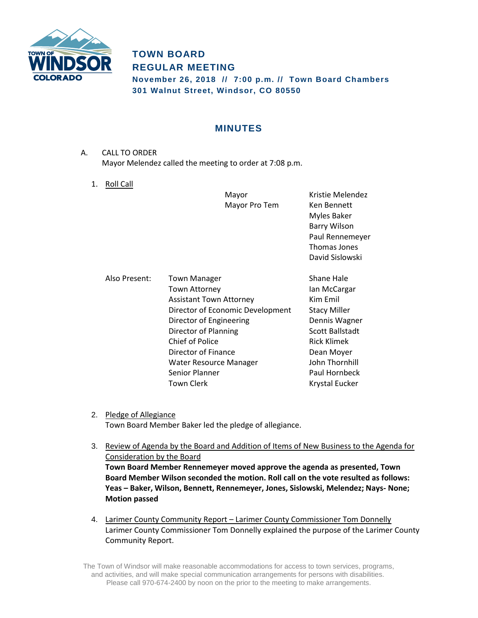

# **TOWN BOARD REGULAR MEETING November 26, 2018 // 7:00 p.m. // Town Board Chambers 301 Walnut Street, Windsor, CO 80550**

# **MINUTES**

- A. CALL TO ORDER Mayor Melendez called the meeting to order at 7:08 p.m.
	- 1. Roll Call

|               | Mayor<br>Mayor Pro Tem                                                                                                                                                                                                                   | Kristie Melendez<br>Ken Bennett<br>Myles Baker<br><b>Barry Wilson</b><br>Paul Rennemeyer<br>Thomas Jones<br>David Sislowski                                    |
|---------------|------------------------------------------------------------------------------------------------------------------------------------------------------------------------------------------------------------------------------------------|----------------------------------------------------------------------------------------------------------------------------------------------------------------|
| Also Present: | <b>Town Manager</b><br>Town Attorney<br><b>Assistant Town Attorney</b><br>Director of Economic Development<br>Director of Engineering<br>Director of Planning<br><b>Chief of Police</b><br>Director of Finance<br>Water Resource Manager | Shane Hale<br>lan McCargar<br>Kim Emil<br><b>Stacy Miller</b><br>Dennis Wagner<br><b>Scott Ballstadt</b><br><b>Rick Klimek</b><br>Dean Moyer<br>John Thornhill |
|               | Senior Planner<br>Town Clerk                                                                                                                                                                                                             | Paul Hornbeck<br>Krystal Eucker                                                                                                                                |

- 2. Pledge of Allegiance Town Board Member Baker led the pledge of allegiance.
- 3. Review of Agenda by the Board and Addition of Items of New Business to the Agenda for Consideration by the Board **Town Board Member Rennemeyer moved approve the agenda as presented, Town Board Member Wilson seconded the motion. Roll call on the vote resulted as follows: Yeas – Baker, Wilson, Bennett, Rennemeyer, Jones, Sislowski, Melendez; Nays- None; Motion passed**
- 4. Larimer County Community Report Larimer County Commissioner Tom Donnelly Larimer County Commissioner Tom Donnelly explained the purpose of the Larimer County Community Report.

The Town of Windsor will make reasonable accommodations for access to town services, programs, and activities, and will make special communication arrangements for persons with disabilities. Please call 970-674-2400 by noon on the prior to the meeting to make arrangements.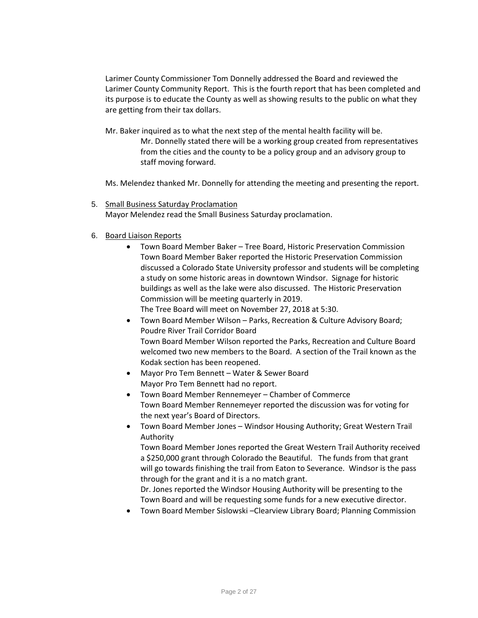Larimer County Commissioner Tom Donnelly addressed the Board and reviewed the Larimer County Community Report. This is the fourth report that has been completed and its purpose is to educate the County as well as showing results to the public on what they are getting from their tax dollars.

Mr. Baker inquired as to what the next step of the mental health facility will be. Mr. Donnelly stated there will be a working group created from representatives from the cities and the county to be a policy group and an advisory group to staff moving forward.

Ms. Melendez thanked Mr. Donnelly for attending the meeting and presenting the report.

5. Small Business Saturday Proclamation

Mayor Melendez read the Small Business Saturday proclamation.

### 6. Board Liaison Reports

 Town Board Member Baker – Tree Board, Historic Preservation Commission Town Board Member Baker reported the Historic Preservation Commission discussed a Colorado State University professor and students will be completing a study on some historic areas in downtown Windsor. Signage for historic buildings as well as the lake were also discussed. The Historic Preservation Commission will be meeting quarterly in 2019.

The Tree Board will meet on November 27, 2018 at 5:30.

- Town Board Member Wilson Parks, Recreation & Culture Advisory Board; Poudre River Trail Corridor Board Town Board Member Wilson reported the Parks, Recreation and Culture Board welcomed two new members to the Board. A section of the Trail known as the Kodak section has been reopened.
- Mayor Pro Tem Bennett Water & Sewer Board Mayor Pro Tem Bennett had no report.
- Town Board Member Rennemeyer Chamber of Commerce Town Board Member Rennemeyer reported the discussion was for voting for the next year's Board of Directors.
- Town Board Member Jones Windsor Housing Authority; Great Western Trail Authority

Town Board Member Jones reported the Great Western Trail Authority received a \$250,000 grant through Colorado the Beautiful. The funds from that grant will go towards finishing the trail from Eaton to Severance. Windsor is the pass through for the grant and it is a no match grant.

Dr. Jones reported the Windsor Housing Authority will be presenting to the Town Board and will be requesting some funds for a new executive director.

Town Board Member Sislowski –Clearview Library Board; Planning Commission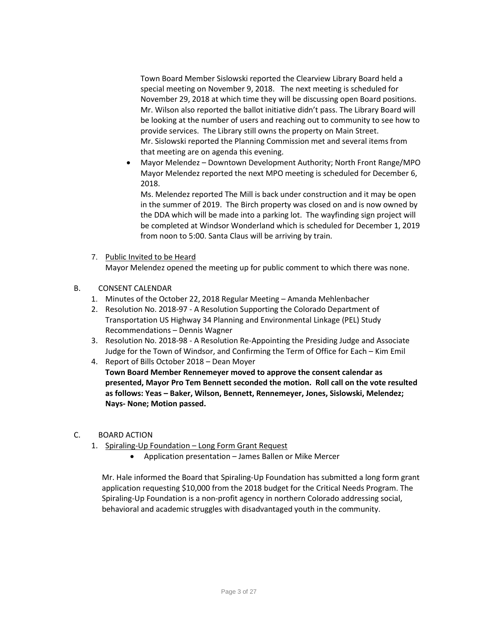Town Board Member Sislowski reported the Clearview Library Board held a special meeting on November 9, 2018. The next meeting is scheduled for November 29, 2018 at which time they will be discussing open Board positions. Mr. Wilson also reported the ballot initiative didn't pass. The Library Board will be looking at the number of users and reaching out to community to see how to provide services. The Library still owns the property on Main Street. Mr. Sislowski reported the Planning Commission met and several items from that meeting are on agenda this evening.

 Mayor Melendez – Downtown Development Authority; North Front Range/MPO Mayor Melendez reported the next MPO meeting is scheduled for December 6, 2018.

Ms. Melendez reported The Mill is back under construction and it may be open in the summer of 2019. The Birch property was closed on and is now owned by the DDA which will be made into a parking lot. The wayfinding sign project will be completed at Windsor Wonderland which is scheduled for December 1, 2019 from noon to 5:00. Santa Claus will be arriving by train.

- 7. Public Invited to be Heard Mayor Melendez opened the meeting up for public comment to which there was none.
- B. CONSENT CALENDAR
	- 1. Minutes of the October 22, 2018 Regular Meeting Amanda Mehlenbacher
	- 2. Resolution No. 2018-97 A Resolution Supporting the Colorado Department of Transportation US Highway 34 Planning and Environmental Linkage (PEL) Study Recommendations – Dennis Wagner
	- 3. Resolution No. 2018-98 A Resolution Re-Appointing the Presiding Judge and Associate Judge for the Town of Windsor, and Confirming the Term of Office for Each – Kim Emil
	- 4. Report of Bills October 2018 Dean Moyer **Town Board Member Rennemeyer moved to approve the consent calendar as presented, Mayor Pro Tem Bennett seconded the motion. Roll call on the vote resulted as follows: Yeas – Baker, Wilson, Bennett, Rennemeyer, Jones, Sislowski, Melendez; Nays- None; Motion passed.**
- C. BOARD ACTION
	- 1. Spiraling-Up Foundation Long Form Grant Request
		- Application presentation James Ballen or Mike Mercer

Mr. Hale informed the Board that Spiraling-Up Foundation has submitted a long form grant application requesting \$10,000 from the 2018 budget for the Critical Needs Program. The Spiraling-Up Foundation is a non-profit agency in northern Colorado addressing social, behavioral and academic struggles with disadvantaged youth in the community.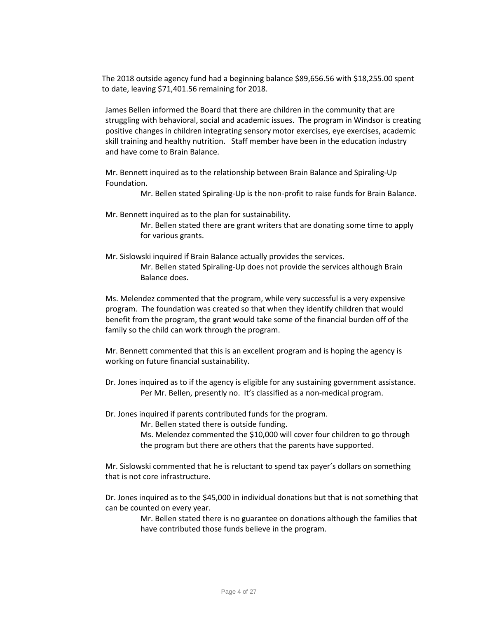The 2018 outside agency fund had a beginning balance \$89,656.56 with \$18,255.00 spent to date, leaving \$71,401.56 remaining for 2018.

James Bellen informed the Board that there are children in the community that are struggling with behavioral, social and academic issues. The program in Windsor is creating positive changes in children integrating sensory motor exercises, eye exercises, academic skill training and healthy nutrition. Staff member have been in the education industry and have come to Brain Balance.

Mr. Bennett inquired as to the relationship between Brain Balance and Spiraling-Up Foundation.

Mr. Bellen stated Spiraling-Up is the non-profit to raise funds for Brain Balance.

Mr. Bennett inquired as to the plan for sustainability.

Mr. Bellen stated there are grant writers that are donating some time to apply for various grants.

Mr. Sislowski inquired if Brain Balance actually provides the services. Mr. Bellen stated Spiraling-Up does not provide the services although Brain Balance does.

Ms. Melendez commented that the program, while very successful is a very expensive program. The foundation was created so that when they identify children that would benefit from the program, the grant would take some of the financial burden off of the family so the child can work through the program.

Mr. Bennett commented that this is an excellent program and is hoping the agency is working on future financial sustainability.

Dr. Jones inquired as to if the agency is eligible for any sustaining government assistance. Per Mr. Bellen, presently no. It's classified as a non-medical program.

Dr. Jones inquired if parents contributed funds for the program.

Mr. Bellen stated there is outside funding.

Ms. Melendez commented the \$10,000 will cover four children to go through the program but there are others that the parents have supported.

Mr. Sislowski commented that he is reluctant to spend tax payer's dollars on something that is not core infrastructure.

Dr. Jones inquired as to the \$45,000 in individual donations but that is not something that can be counted on every year.

> Mr. Bellen stated there is no guarantee on donations although the families that have contributed those funds believe in the program.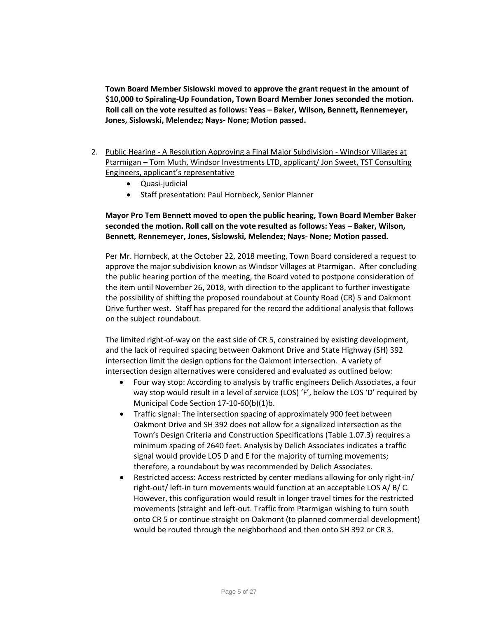**Town Board Member Sislowski moved to approve the grant request in the amount of \$10,000 to Spiraling-Up Foundation, Town Board Member Jones seconded the motion. Roll call on the vote resulted as follows: Yeas – Baker, Wilson, Bennett, Rennemeyer, Jones, Sislowski, Melendez; Nays- None; Motion passed.**

- 2. Public Hearing A Resolution Approving a Final Major Subdivision Windsor Villages at Ptarmigan – Tom Muth, Windsor Investments LTD, applicant/ Jon Sweet, TST Consulting Engineers, applicant's representative
	- Quasi-judicial
	- Staff presentation: Paul Hornbeck, Senior Planner

## **Mayor Pro Tem Bennett moved to open the public hearing, Town Board Member Baker seconded the motion. Roll call on the vote resulted as follows: Yeas – Baker, Wilson, Bennett, Rennemeyer, Jones, Sislowski, Melendez; Nays- None; Motion passed.**

Per Mr. Hornbeck, at the October 22, 2018 meeting, Town Board considered a request to approve the major subdivision known as Windsor Villages at Ptarmigan. After concluding the public hearing portion of the meeting, the Board voted to postpone consideration of the item until November 26, 2018, with direction to the applicant to further investigate the possibility of shifting the proposed roundabout at County Road (CR) 5 and Oakmont Drive further west. Staff has prepared for the record the additional analysis that follows on the subject roundabout.

The limited right-of-way on the east side of CR 5, constrained by existing development, and the lack of required spacing between Oakmont Drive and State Highway (SH) 392 intersection limit the design options for the Oakmont intersection. A variety of intersection design alternatives were considered and evaluated as outlined below:

- Four way stop: According to analysis by traffic engineers Delich Associates, a four way stop would result in a level of service (LOS) 'F', below the LOS 'D' required by Municipal Code Section 17-10-60(b)(1)b.
- Traffic signal: The intersection spacing of approximately 900 feet between Oakmont Drive and SH 392 does not allow for a signalized intersection as the Town's Design Criteria and Construction Specifications (Table 1.07.3) requires a minimum spacing of 2640 feet. Analysis by Delich Associates indicates a traffic signal would provide LOS D and E for the majority of turning movements; therefore, a roundabout by was recommended by Delich Associates.
- Restricted access: Access restricted by center medians allowing for only right-in/ right-out/ left-in turn movements would function at an acceptable LOS A/ B/ C. However, this configuration would result in longer travel times for the restricted movements (straight and left-out. Traffic from Ptarmigan wishing to turn south onto CR 5 or continue straight on Oakmont (to planned commercial development) would be routed through the neighborhood and then onto SH 392 or CR 3.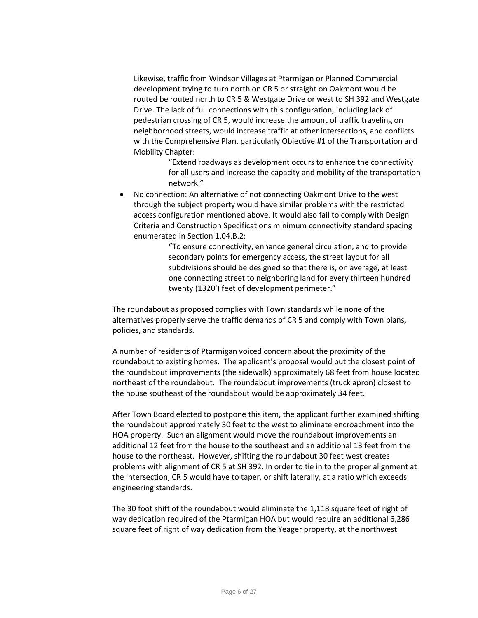Likewise, traffic from Windsor Villages at Ptarmigan or Planned Commercial development trying to turn north on CR 5 or straight on Oakmont would be routed be routed north to CR 5 & Westgate Drive or west to SH 392 and Westgate Drive. The lack of full connections with this configuration, including lack of pedestrian crossing of CR 5, would increase the amount of traffic traveling on neighborhood streets, would increase traffic at other intersections, and conflicts with the Comprehensive Plan, particularly Objective #1 of the Transportation and Mobility Chapter:

> "Extend roadways as development occurs to enhance the connectivity for all users and increase the capacity and mobility of the transportation network."

 No connection: An alternative of not connecting Oakmont Drive to the west through the subject property would have similar problems with the restricted access configuration mentioned above. It would also fail to comply with Design Criteria and Construction Specifications minimum connectivity standard spacing enumerated in Section 1.04.B.2:

> "To ensure connectivity, enhance general circulation, and to provide secondary points for emergency access, the street layout for all subdivisions should be designed so that there is, on average, at least one connecting street to neighboring land for every thirteen hundred twenty (1320') feet of development perimeter."

The roundabout as proposed complies with Town standards while none of the alternatives properly serve the traffic demands of CR 5 and comply with Town plans, policies, and standards.

A number of residents of Ptarmigan voiced concern about the proximity of the roundabout to existing homes. The applicant's proposal would put the closest point of the roundabout improvements (the sidewalk) approximately 68 feet from house located northeast of the roundabout. The roundabout improvements (truck apron) closest to the house southeast of the roundabout would be approximately 34 feet.

After Town Board elected to postpone this item, the applicant further examined shifting the roundabout approximately 30 feet to the west to eliminate encroachment into the HOA property. Such an alignment would move the roundabout improvements an additional 12 feet from the house to the southeast and an additional 13 feet from the house to the northeast. However, shifting the roundabout 30 feet west creates problems with alignment of CR 5 at SH 392. In order to tie in to the proper alignment at the intersection, CR 5 would have to taper, or shift laterally, at a ratio which exceeds engineering standards.

The 30 foot shift of the roundabout would eliminate the 1,118 square feet of right of way dedication required of the Ptarmigan HOA but would require an additional 6,286 square feet of right of way dedication from the Yeager property, at the northwest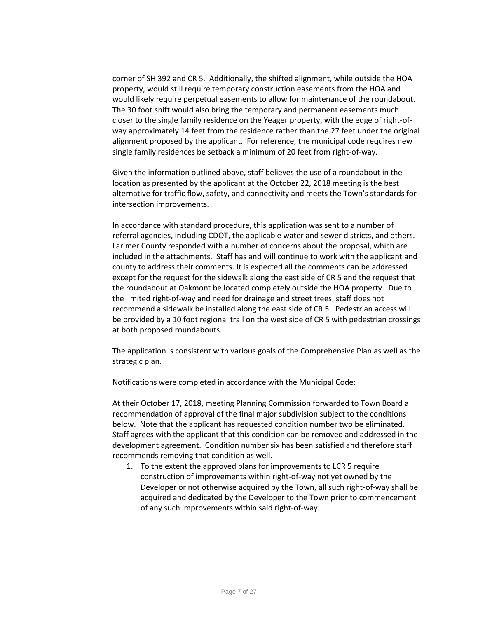corner of SH 392 and CR 5. Additionally, the shifted alignment, while outside the HOA property, would still require temporary construction easements from the HOA and would likely require perpetual easements to allow for maintenance of the roundabout. The 30 foot shift would also bring the temporary and permanent easements much closer to the single family residence on the Yeager property, with the edge of right-ofway approximately 14 feet from the residence rather than the 27 feet under the original alignment proposed by the applicant. For reference, the municipal code requires new single family residences be setback a minimum of 20 feet from right-of-way.

Given the information outlined above, staff believes the use of a roundabout in the location as presented by the applicant at the October 22, 2018 meeting is the best alternative for traffic flow, safety, and connectivity and meets the Town's standards for intersection improvements.

In accordance with standard procedure, this application was sent to a number of referral agencies, including CDOT, the applicable water and sewer districts, and others. Larimer County responded with a number of concerns about the proposal, which are included in the attachments. Staff has and will continue to work with the applicant and county to address their comments. It is expected all the comments can be addressed except for the request for the sidewalk along the east side of CR 5 and the request that the roundabout at Oakmont be located completely outside the HOA property. Due to the limited right-of-way and need for drainage and street trees, staff does not recommend a sidewalk be installed along the east side of CR 5. Pedestrian access will be provided by a 10 foot regional trail on the west side of CR 5 with pedestrian crossings at both proposed roundabouts.

The application is consistent with various goals of the Comprehensive Plan as well as the strategic plan.

Notifications were completed in accordance with the Municipal Code:

At their October 17, 2018, meeting Planning Commission forwarded to Town Board a recommendation of approval of the final major subdivision subject to the conditions below. Note that the applicant has requested condition number two be eliminated. Staff agrees with the applicant that this condition can be removed and addressed in the development agreement. Condition number six has been satisfied and therefore staff recommends removing that condition as well.

1. To the extent the approved plans for improvements to LCR 5 require construction of improvements within right-of-way not yet owned by the Developer or not otherwise acquired by the Town, all such right-of-way shall be acquired and dedicated by the Developer to the Town prior to commencement of any such improvements within said right-of-way.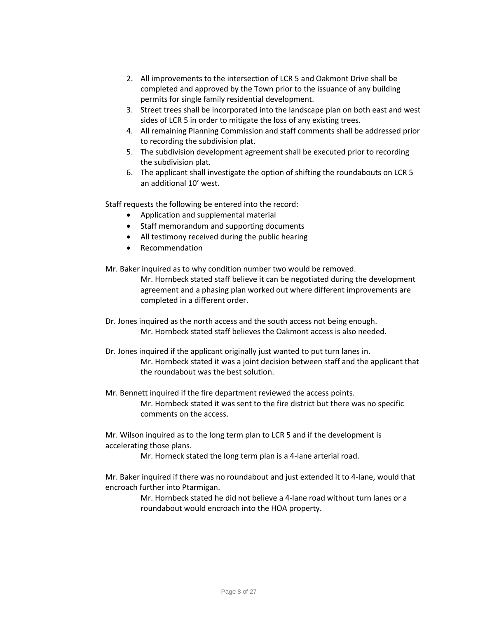- 2. All improvements to the intersection of LCR 5 and Oakmont Drive shall be completed and approved by the Town prior to the issuance of any building permits for single family residential development.
- 3. Street trees shall be incorporated into the landscape plan on both east and west sides of LCR 5 in order to mitigate the loss of any existing trees.
- 4. All remaining Planning Commission and staff comments shall be addressed prior to recording the subdivision plat.
- 5. The subdivision development agreement shall be executed prior to recording the subdivision plat.
- 6. The applicant shall investigate the option of shifting the roundabouts on LCR 5 an additional 10' west.

Staff requests the following be entered into the record:

- Application and supplemental material
- Staff memorandum and supporting documents
- All testimony received during the public hearing
- Recommendation
- Mr. Baker inquired as to why condition number two would be removed. Mr. Hornbeck stated staff believe it can be negotiated during the development agreement and a phasing plan worked out where different improvements are completed in a different order.
- Dr. Jones inquired as the north access and the south access not being enough. Mr. Hornbeck stated staff believes the Oakmont access is also needed.
- Dr. Jones inquired if the applicant originally just wanted to put turn lanes in. Mr. Hornbeck stated it was a joint decision between staff and the applicant that the roundabout was the best solution.
- Mr. Bennett inquired if the fire department reviewed the access points. Mr. Hornbeck stated it was sent to the fire district but there was no specific comments on the access.

Mr. Wilson inquired as to the long term plan to LCR 5 and if the development is accelerating those plans.

Mr. Horneck stated the long term plan is a 4-lane arterial road.

Mr. Baker inquired if there was no roundabout and just extended it to 4-lane, would that encroach further into Ptarmigan.

> Mr. Hornbeck stated he did not believe a 4-lane road without turn lanes or a roundabout would encroach into the HOA property.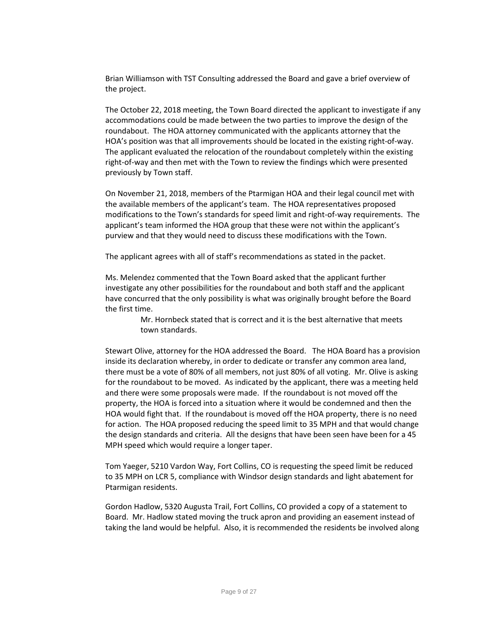Brian Williamson with TST Consulting addressed the Board and gave a brief overview of the project.

The October 22, 2018 meeting, the Town Board directed the applicant to investigate if any accommodations could be made between the two parties to improve the design of the roundabout. The HOA attorney communicated with the applicants attorney that the HOA's position was that all improvements should be located in the existing right-of-way. The applicant evaluated the relocation of the roundabout completely within the existing right-of-way and then met with the Town to review the findings which were presented previously by Town staff.

On November 21, 2018, members of the Ptarmigan HOA and their legal council met with the available members of the applicant's team. The HOA representatives proposed modifications to the Town's standards for speed limit and right-of-way requirements. The applicant's team informed the HOA group that these were not within the applicant's purview and that they would need to discuss these modifications with the Town.

The applicant agrees with all of staff's recommendations as stated in the packet.

Ms. Melendez commented that the Town Board asked that the applicant further investigate any other possibilities for the roundabout and both staff and the applicant have concurred that the only possibility is what was originally brought before the Board the first time.

> Mr. Hornbeck stated that is correct and it is the best alternative that meets town standards.

Stewart Olive, attorney for the HOA addressed the Board. The HOA Board has a provision inside its declaration whereby, in order to dedicate or transfer any common area land, there must be a vote of 80% of all members, not just 80% of all voting. Mr. Olive is asking for the roundabout to be moved. As indicated by the applicant, there was a meeting held and there were some proposals were made. If the roundabout is not moved off the property, the HOA is forced into a situation where it would be condemned and then the HOA would fight that. If the roundabout is moved off the HOA property, there is no need for action. The HOA proposed reducing the speed limit to 35 MPH and that would change the design standards and criteria. All the designs that have been seen have been for a 45 MPH speed which would require a longer taper.

Tom Yaeger, 5210 Vardon Way, Fort Collins, CO is requesting the speed limit be reduced to 35 MPH on LCR 5, compliance with Windsor design standards and light abatement for Ptarmigan residents.

Gordon Hadlow, 5320 Augusta Trail, Fort Collins, CO provided a copy of a statement to Board. Mr. Hadlow stated moving the truck apron and providing an easement instead of taking the land would be helpful. Also, it is recommended the residents be involved along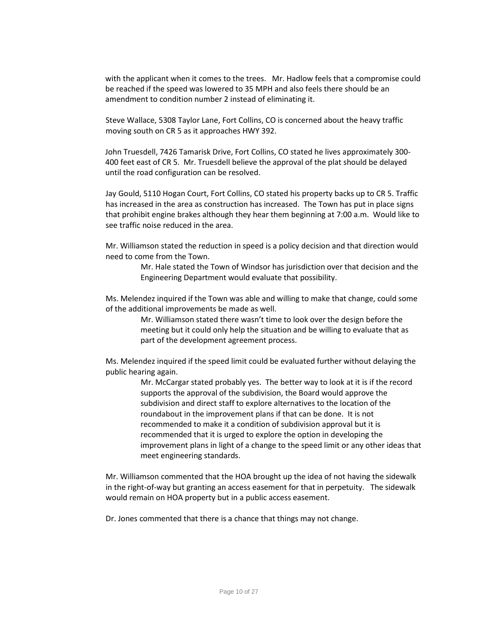with the applicant when it comes to the trees. Mr. Hadlow feels that a compromise could be reached if the speed was lowered to 35 MPH and also feels there should be an amendment to condition number 2 instead of eliminating it.

Steve Wallace, 5308 Taylor Lane, Fort Collins, CO is concerned about the heavy traffic moving south on CR 5 as it approaches HWY 392.

John Truesdell, 7426 Tamarisk Drive, Fort Collins, CO stated he lives approximately 300- 400 feet east of CR 5. Mr. Truesdell believe the approval of the plat should be delayed until the road configuration can be resolved.

Jay Gould, 5110 Hogan Court, Fort Collins, CO stated his property backs up to CR 5. Traffic has increased in the area as construction has increased. The Town has put in place signs that prohibit engine brakes although they hear them beginning at 7:00 a.m. Would like to see traffic noise reduced in the area.

Mr. Williamson stated the reduction in speed is a policy decision and that direction would need to come from the Town.

> Mr. Hale stated the Town of Windsor has jurisdiction over that decision and the Engineering Department would evaluate that possibility.

Ms. Melendez inquired if the Town was able and willing to make that change, could some of the additional improvements be made as well.

> Mr. Williamson stated there wasn't time to look over the design before the meeting but it could only help the situation and be willing to evaluate that as part of the development agreement process.

Ms. Melendez inquired if the speed limit could be evaluated further without delaying the public hearing again.

> Mr. McCargar stated probably yes. The better way to look at it is if the record supports the approval of the subdivision, the Board would approve the subdivision and direct staff to explore alternatives to the location of the roundabout in the improvement plans if that can be done. It is not recommended to make it a condition of subdivision approval but it is recommended that it is urged to explore the option in developing the improvement plans in light of a change to the speed limit or any other ideas that meet engineering standards.

Mr. Williamson commented that the HOA brought up the idea of not having the sidewalk in the right-of-way but granting an access easement for that in perpetuity. The sidewalk would remain on HOA property but in a public access easement.

Dr. Jones commented that there is a chance that things may not change.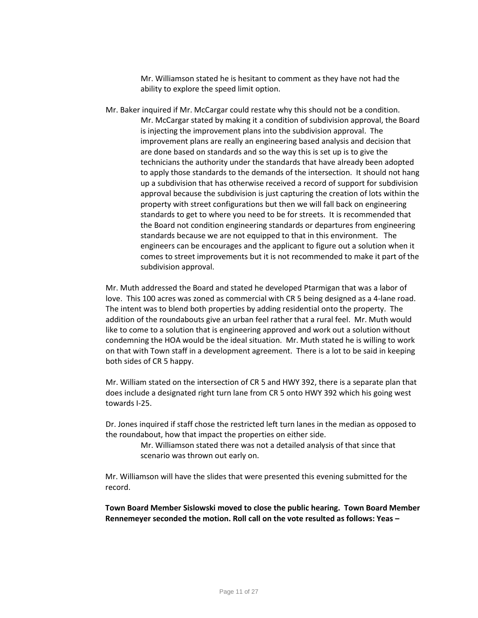Mr. Williamson stated he is hesitant to comment as they have not had the ability to explore the speed limit option.

Mr. Baker inquired if Mr. McCargar could restate why this should not be a condition. Mr. McCargar stated by making it a condition of subdivision approval, the Board is injecting the improvement plans into the subdivision approval. The improvement plans are really an engineering based analysis and decision that are done based on standards and so the way this is set up is to give the technicians the authority under the standards that have already been adopted to apply those standards to the demands of the intersection. It should not hang up a subdivision that has otherwise received a record of support for subdivision approval because the subdivision is just capturing the creation of lots within the property with street configurations but then we will fall back on engineering standards to get to where you need to be for streets. It is recommended that the Board not condition engineering standards or departures from engineering standards because we are not equipped to that in this environment. The engineers can be encourages and the applicant to figure out a solution when it comes to street improvements but it is not recommended to make it part of the subdivision approval.

Mr. Muth addressed the Board and stated he developed Ptarmigan that was a labor of love. This 100 acres was zoned as commercial with CR 5 being designed as a 4-lane road. The intent was to blend both properties by adding residential onto the property. The addition of the roundabouts give an urban feel rather that a rural feel. Mr. Muth would like to come to a solution that is engineering approved and work out a solution without condemning the HOA would be the ideal situation. Mr. Muth stated he is willing to work on that with Town staff in a development agreement. There is a lot to be said in keeping both sides of CR 5 happy.

Mr. William stated on the intersection of CR 5 and HWY 392, there is a separate plan that does include a designated right turn lane from CR 5 onto HWY 392 which his going west towards I-25.

Dr. Jones inquired if staff chose the restricted left turn lanes in the median as opposed to the roundabout, how that impact the properties on either side.

> Mr. Williamson stated there was not a detailed analysis of that since that scenario was thrown out early on.

Mr. Williamson will have the slides that were presented this evening submitted for the record.

**Town Board Member Sislowski moved to close the public hearing. Town Board Member Rennemeyer seconded the motion. Roll call on the vote resulted as follows: Yeas –**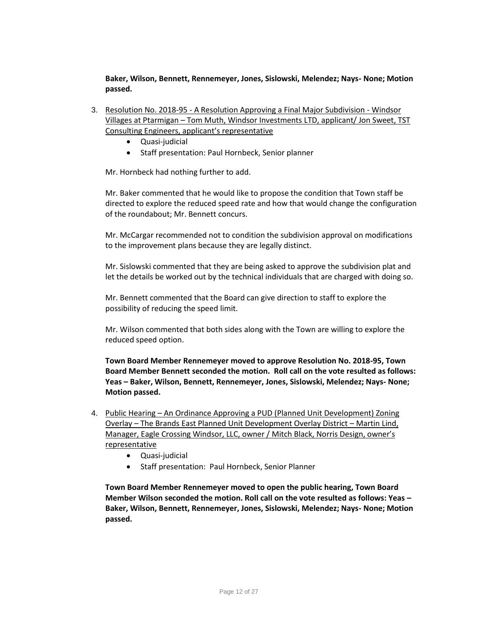**Baker, Wilson, Bennett, Rennemeyer, Jones, Sislowski, Melendez; Nays- None; Motion passed.** 

- 3. Resolution No. 2018-95 A Resolution Approving a Final Major Subdivision Windsor Villages at Ptarmigan – Tom Muth, Windsor Investments LTD, applicant/ Jon Sweet, TST Consulting Engineers, applicant's representative
	- Quasi-judicial
	- Staff presentation: Paul Hornbeck, Senior planner

Mr. Hornbeck had nothing further to add.

Mr. Baker commented that he would like to propose the condition that Town staff be directed to explore the reduced speed rate and how that would change the configuration of the roundabout; Mr. Bennett concurs.

Mr. McCargar recommended not to condition the subdivision approval on modifications to the improvement plans because they are legally distinct.

Mr. Sislowski commented that they are being asked to approve the subdivision plat and let the details be worked out by the technical individuals that are charged with doing so.

Mr. Bennett commented that the Board can give direction to staff to explore the possibility of reducing the speed limit.

Mr. Wilson commented that both sides along with the Town are willing to explore the reduced speed option.

**Town Board Member Rennemeyer moved to approve Resolution No. 2018-95, Town Board Member Bennett seconded the motion. Roll call on the vote resulted as follows: Yeas – Baker, Wilson, Bennett, Rennemeyer, Jones, Sislowski, Melendez; Nays- None; Motion passed.** 

- 4. Public Hearing An Ordinance Approving a PUD (Planned Unit Development) Zoning Overlay – The Brands East Planned Unit Development Overlay District – Martin Lind, Manager, Eagle Crossing Windsor, LLC, owner / Mitch Black, Norris Design, owner's representative
	- Quasi-judicial
	- Staff presentation: Paul Hornbeck, Senior Planner

**Town Board Member Rennemeyer moved to open the public hearing, Town Board Member Wilson seconded the motion. Roll call on the vote resulted as follows: Yeas – Baker, Wilson, Bennett, Rennemeyer, Jones, Sislowski, Melendez; Nays- None; Motion passed.**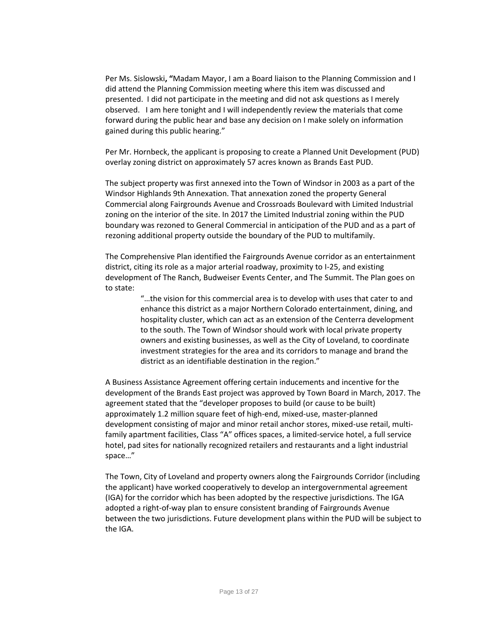Per Ms. Sislowski**, "**Madam Mayor, I am a Board liaison to the Planning Commission and I did attend the Planning Commission meeting where this item was discussed and presented. I did not participate in the meeting and did not ask questions as I merely observed. I am here tonight and I will independently review the materials that come forward during the public hear and base any decision on I make solely on information gained during this public hearing."

Per Mr. Hornbeck, the applicant is proposing to create a Planned Unit Development (PUD) overlay zoning district on approximately 57 acres known as Brands East PUD.

The subject property was first annexed into the Town of Windsor in 2003 as a part of the Windsor Highlands 9th Annexation. That annexation zoned the property General Commercial along Fairgrounds Avenue and Crossroads Boulevard with Limited Industrial zoning on the interior of the site. In 2017 the Limited Industrial zoning within the PUD boundary was rezoned to General Commercial in anticipation of the PUD and as a part of rezoning additional property outside the boundary of the PUD to multifamily.

The Comprehensive Plan identified the Fairgrounds Avenue corridor as an entertainment district, citing its role as a major arterial roadway, proximity to I-25, and existing development of The Ranch, Budweiser Events Center, and The Summit. The Plan goes on to state:

> "…the vision for this commercial area is to develop with uses that cater to and enhance this district as a major Northern Colorado entertainment, dining, and hospitality cluster, which can act as an extension of the Centerra development to the south. The Town of Windsor should work with local private property owners and existing businesses, as well as the City of Loveland, to coordinate investment strategies for the area and its corridors to manage and brand the district as an identifiable destination in the region."

A Business Assistance Agreement offering certain inducements and incentive for the development of the Brands East project was approved by Town Board in March, 2017. The agreement stated that the "developer proposes to build (or cause to be built) approximately 1.2 million square feet of high-end, mixed-use, master-planned development consisting of major and minor retail anchor stores, mixed-use retail, multifamily apartment facilities, Class "A" offices spaces, a limited-service hotel, a full service hotel, pad sites for nationally recognized retailers and restaurants and a light industrial space…"

The Town, City of Loveland and property owners along the Fairgrounds Corridor (including the applicant) have worked cooperatively to develop an intergovernmental agreement (IGA) for the corridor which has been adopted by the respective jurisdictions. The IGA adopted a right-of-way plan to ensure consistent branding of Fairgrounds Avenue between the two jurisdictions. Future development plans within the PUD will be subject to the IGA.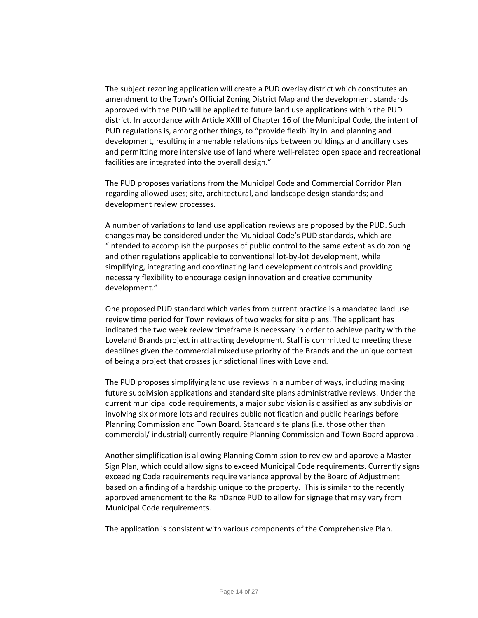The subject rezoning application will create a PUD overlay district which constitutes an amendment to the Town's Official Zoning District Map and the development standards approved with the PUD will be applied to future land use applications within the PUD district. In accordance with Article XXIII of Chapter 16 of the Municipal Code, the intent of PUD regulations is, among other things, to "provide flexibility in land planning and development, resulting in amenable relationships between buildings and ancillary uses and permitting more intensive use of land where well-related open space and recreational facilities are integrated into the overall design."

The PUD proposes variations from the Municipal Code and Commercial Corridor Plan regarding allowed uses; site, architectural, and landscape design standards; and development review processes.

A number of variations to land use application reviews are proposed by the PUD. Such changes may be considered under the Municipal Code's PUD standards, which are "intended to accomplish the purposes of public control to the same extent as do zoning and other regulations applicable to conventional lot-by-lot development, while simplifying, integrating and coordinating land development controls and providing necessary flexibility to encourage design innovation and creative community development."

One proposed PUD standard which varies from current practice is a mandated land use review time period for Town reviews of two weeks for site plans. The applicant has indicated the two week review timeframe is necessary in order to achieve parity with the Loveland Brands project in attracting development. Staff is committed to meeting these deadlines given the commercial mixed use priority of the Brands and the unique context of being a project that crosses jurisdictional lines with Loveland.

The PUD proposes simplifying land use reviews in a number of ways, including making future subdivision applications and standard site plans administrative reviews. Under the current municipal code requirements, a major subdivision is classified as any subdivision involving six or more lots and requires public notification and public hearings before Planning Commission and Town Board. Standard site plans (i.e. those other than commercial/ industrial) currently require Planning Commission and Town Board approval.

Another simplification is allowing Planning Commission to review and approve a Master Sign Plan, which could allow signs to exceed Municipal Code requirements. Currently signs exceeding Code requirements require variance approval by the Board of Adjustment based on a finding of a hardship unique to the property. This is similar to the recently approved amendment to the RainDance PUD to allow for signage that may vary from Municipal Code requirements.

The application is consistent with various components of the Comprehensive Plan.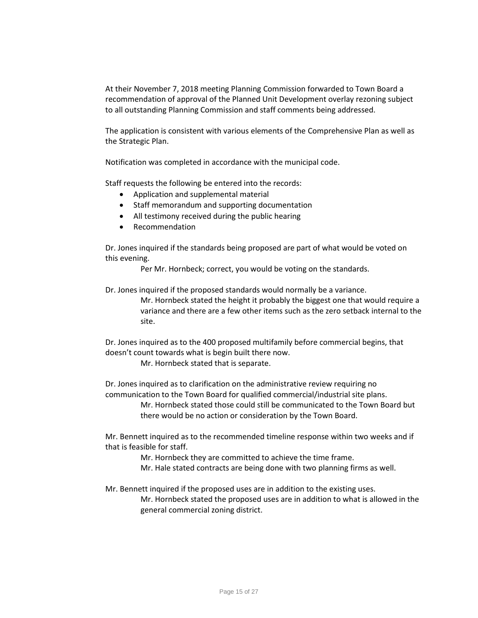At their November 7, 2018 meeting Planning Commission forwarded to Town Board a recommendation of approval of the Planned Unit Development overlay rezoning subject to all outstanding Planning Commission and staff comments being addressed.

The application is consistent with various elements of the Comprehensive Plan as well as the Strategic Plan.

Notification was completed in accordance with the municipal code.

Staff requests the following be entered into the records:

- Application and supplemental material
- Staff memorandum and supporting documentation
- All testimony received during the public hearing
- Recommendation

Dr. Jones inquired if the standards being proposed are part of what would be voted on this evening.

Per Mr. Hornbeck; correct, you would be voting on the standards.

Dr. Jones inquired if the proposed standards would normally be a variance.

Mr. Hornbeck stated the height it probably the biggest one that would require a variance and there are a few other items such as the zero setback internal to the site.

Dr. Jones inquired as to the 400 proposed multifamily before commercial begins, that doesn't count towards what is begin built there now.

Mr. Hornbeck stated that is separate.

Dr. Jones inquired as to clarification on the administrative review requiring no communication to the Town Board for qualified commercial/industrial site plans.

> Mr. Hornbeck stated those could still be communicated to the Town Board but there would be no action or consideration by the Town Board.

Mr. Bennett inquired as to the recommended timeline response within two weeks and if that is feasible for staff.

> Mr. Hornbeck they are committed to achieve the time frame. Mr. Hale stated contracts are being done with two planning firms as well.

Mr. Bennett inquired if the proposed uses are in addition to the existing uses.

Mr. Hornbeck stated the proposed uses are in addition to what is allowed in the general commercial zoning district.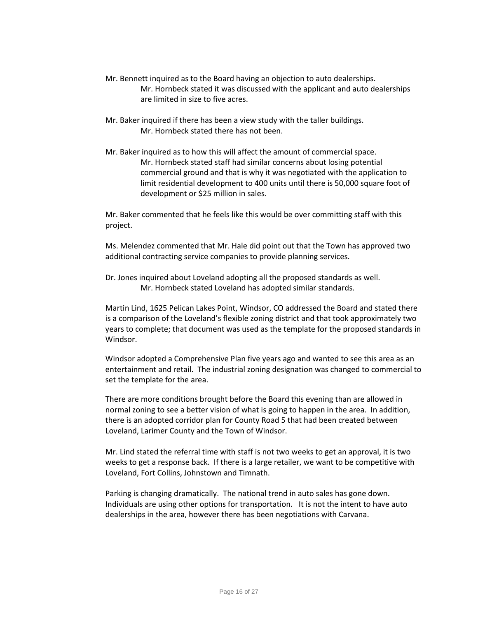- Mr. Bennett inquired as to the Board having an objection to auto dealerships. Mr. Hornbeck stated it was discussed with the applicant and auto dealerships are limited in size to five acres.
- Mr. Baker inquired if there has been a view study with the taller buildings. Mr. Hornbeck stated there has not been.
- Mr. Baker inquired as to how this will affect the amount of commercial space. Mr. Hornbeck stated staff had similar concerns about losing potential commercial ground and that is why it was negotiated with the application to limit residential development to 400 units until there is 50,000 square foot of development or \$25 million in sales.

Mr. Baker commented that he feels like this would be over committing staff with this project.

Ms. Melendez commented that Mr. Hale did point out that the Town has approved two additional contracting service companies to provide planning services.

Dr. Jones inquired about Loveland adopting all the proposed standards as well. Mr. Hornbeck stated Loveland has adopted similar standards.

Martin Lind, 1625 Pelican Lakes Point, Windsor, CO addressed the Board and stated there is a comparison of the Loveland's flexible zoning district and that took approximately two years to complete; that document was used as the template for the proposed standards in Windsor.

Windsor adopted a Comprehensive Plan five years ago and wanted to see this area as an entertainment and retail. The industrial zoning designation was changed to commercial to set the template for the area.

There are more conditions brought before the Board this evening than are allowed in normal zoning to see a better vision of what is going to happen in the area. In addition, there is an adopted corridor plan for County Road 5 that had been created between Loveland, Larimer County and the Town of Windsor.

Mr. Lind stated the referral time with staff is not two weeks to get an approval, it is two weeks to get a response back. If there is a large retailer, we want to be competitive with Loveland, Fort Collins, Johnstown and Timnath.

Parking is changing dramatically. The national trend in auto sales has gone down. Individuals are using other options for transportation. It is not the intent to have auto dealerships in the area, however there has been negotiations with Carvana.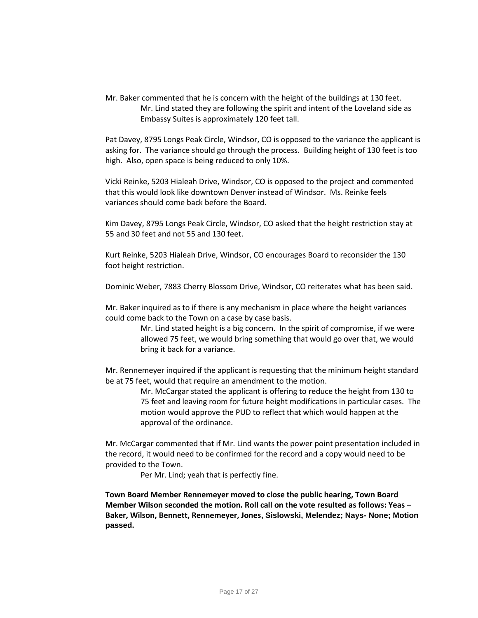Mr. Baker commented that he is concern with the height of the buildings at 130 feet. Mr. Lind stated they are following the spirit and intent of the Loveland side as Embassy Suites is approximately 120 feet tall.

Pat Davey, 8795 Longs Peak Circle, Windsor, CO is opposed to the variance the applicant is asking for. The variance should go through the process. Building height of 130 feet is too high. Also, open space is being reduced to only 10%.

Vicki Reinke, 5203 Hialeah Drive, Windsor, CO is opposed to the project and commented that this would look like downtown Denver instead of Windsor. Ms. Reinke feels variances should come back before the Board.

Kim Davey, 8795 Longs Peak Circle, Windsor, CO asked that the height restriction stay at 55 and 30 feet and not 55 and 130 feet.

Kurt Reinke, 5203 Hialeah Drive, Windsor, CO encourages Board to reconsider the 130 foot height restriction.

Dominic Weber, 7883 Cherry Blossom Drive, Windsor, CO reiterates what has been said.

Mr. Baker inquired as to if there is any mechanism in place where the height variances could come back to the Town on a case by case basis.

> Mr. Lind stated height is a big concern. In the spirit of compromise, if we were allowed 75 feet, we would bring something that would go over that, we would bring it back for a variance.

Mr. Rennemeyer inquired if the applicant is requesting that the minimum height standard be at 75 feet, would that require an amendment to the motion.

> Mr. McCargar stated the applicant is offering to reduce the height from 130 to 75 feet and leaving room for future height modifications in particular cases. The motion would approve the PUD to reflect that which would happen at the approval of the ordinance.

Mr. McCargar commented that if Mr. Lind wants the power point presentation included in the record, it would need to be confirmed for the record and a copy would need to be provided to the Town.

Per Mr. Lind; yeah that is perfectly fine.

**Town Board Member Rennemeyer moved to close the public hearing, Town Board Member Wilson seconded the motion. Roll call on the vote resulted as follows: Yeas – Baker, Wilson, Bennett, Rennemeyer, Jones, Sislowski, Melendez; Nays- None; Motion passed.**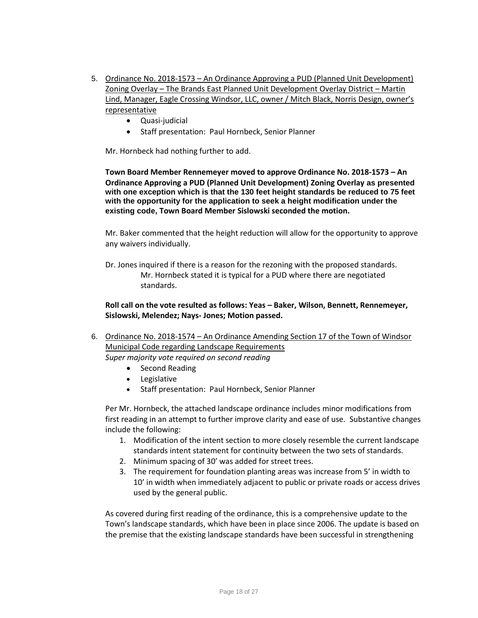- 5. Ordinance No. 2018-1573 An Ordinance Approving a PUD (Planned Unit Development) Zoning Overlay – The Brands East Planned Unit Development Overlay District – Martin Lind, Manager, Eagle Crossing Windsor, LLC, owner / Mitch Black, Norris Design, owner's representative
	- Quasi-judicial
	- Staff presentation: Paul Hornbeck, Senior Planner

Mr. Hornbeck had nothing further to add.

**Town Board Member Rennemeyer moved to approve Ordinance No. 2018-1573 – An Ordinance Approving a PUD (Planned Unit Development) Zoning Overlay as presented with one exception which is that the 130 feet height standards be reduced to 75 feet with the opportunity for the application to seek a height modification under the existing code, Town Board Member Sislowski seconded the motion.**

Mr. Baker commented that the height reduction will allow for the opportunity to approve any waivers individually.

Dr. Jones inquired if there is a reason for the rezoning with the proposed standards. Mr. Hornbeck stated it is typical for a PUD where there are negotiated standards.

**Roll call on the vote resulted as follows: Yeas – Baker, Wilson, Bennett, Rennemeyer, Sislowski, Melendez; Nays- Jones; Motion passed.** 

- 6. Ordinance No. 2018-1574 An Ordinance Amending Section 17 of the Town of Windsor Municipal Code regarding Landscape Requirements *Super majority vote required on second reading* 
	- Second Reading
	- Legislative
	- Staff presentation: Paul Hornbeck, Senior Planner

Per Mr. Hornbeck, the attached landscape ordinance includes minor modifications from first reading in an attempt to further improve clarity and ease of use. Substantive changes include the following:

- 1. Modification of the intent section to more closely resemble the current landscape standards intent statement for continuity between the two sets of standards.
- 2. Minimum spacing of 30' was added for street trees.
- 3. The requirement for foundation planting areas was increase from 5' in width to 10' in width when immediately adjacent to public or private roads or access drives used by the general public.

As covered during first reading of the ordinance, this is a comprehensive update to the Town's landscape standards, which have been in place since 2006. The update is based on the premise that the existing landscape standards have been successful in strengthening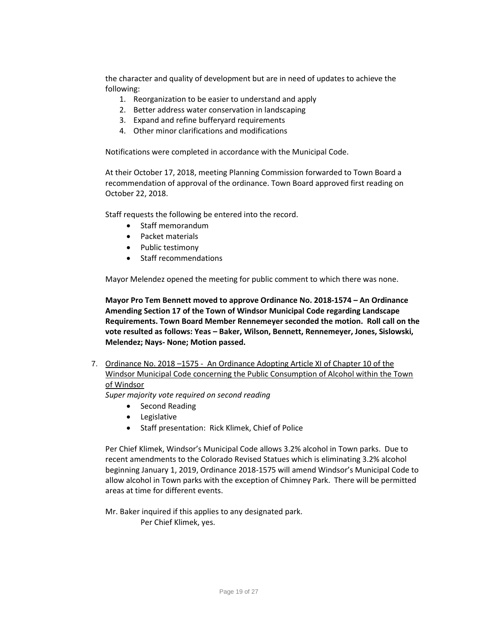the character and quality of development but are in need of updates to achieve the following:

- 1. Reorganization to be easier to understand and apply
- 2. Better address water conservation in landscaping
- 3. Expand and refine bufferyard requirements
- 4. Other minor clarifications and modifications

Notifications were completed in accordance with the Municipal Code.

At their October 17, 2018, meeting Planning Commission forwarded to Town Board a recommendation of approval of the ordinance. Town Board approved first reading on October 22, 2018.

Staff requests the following be entered into the record.

- Staff memorandum
- Packet materials
- Public testimony
- Staff recommendations

Mayor Melendez opened the meeting for public comment to which there was none.

**Mayor Pro Tem Bennett moved to approve Ordinance No. 2018-1574 – An Ordinance Amending Section 17 of the Town of Windsor Municipal Code regarding Landscape Requirements. Town Board Member Rennemeyer seconded the motion. Roll call on the vote resulted as follows: Yeas – Baker, Wilson, Bennett, Rennemeyer, Jones, Sislowski, Melendez; Nays- None; Motion passed.** 

7. Ordinance No. 2018 –1575 - An Ordinance Adopting Article XI of Chapter 10 of the Windsor Municipal Code concerning the Public Consumption of Alcohol within the Town of Windsor

*Super majority vote required on second reading* 

- Second Reading
- Legislative
- Staff presentation: Rick Klimek, Chief of Police

Per Chief Klimek, Windsor's Municipal Code allows 3.2% alcohol in Town parks. Due to recent amendments to the Colorado Revised Statues which is eliminating 3.2% alcohol beginning January 1, 2019, Ordinance 2018-1575 will amend Windsor's Municipal Code to allow alcohol in Town parks with the exception of Chimney Park. There will be permitted areas at time for different events.

Mr. Baker inquired if this applies to any designated park. Per Chief Klimek, yes.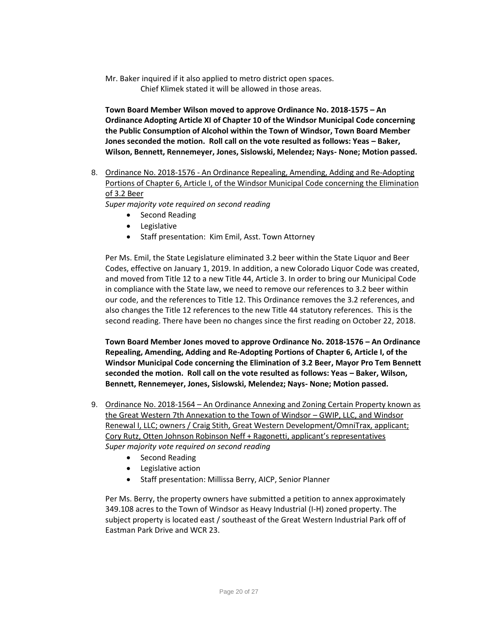Mr. Baker inquired if it also applied to metro district open spaces. Chief Klimek stated it will be allowed in those areas.

**Town Board Member Wilson moved to approve Ordinance No. 2018-1575 – An Ordinance Adopting Article XI of Chapter 10 of the Windsor Municipal Code concerning the Public Consumption of Alcohol within the Town of Windsor, Town Board Member Jones seconded the motion. Roll call on the vote resulted as follows: Yeas - Baker, Wilson, Bennett, Rennemeyer, Jones, Sislowski, Melendez; Nays- None; Motion passed.** 

8. Ordinance No. 2018-1576 - An Ordinance Repealing, Amending, Adding and Re-Adopting Portions of Chapter 6, Article I, of the Windsor Municipal Code concerning the Elimination of 3.2 Beer

*Super majority vote required on second reading* 

- Second Reading
- Legislative
- Staff presentation: Kim Emil, Asst. Town Attorney

Per Ms. Emil, the State Legislature eliminated 3.2 beer within the State Liquor and Beer Codes, effective on January 1, 2019. In addition, a new Colorado Liquor Code was created, and moved from Title 12 to a new Title 44, Article 3. In order to bring our Municipal Code in compliance with the State law, we need to remove our references to 3.2 beer within our code, and the references to Title 12. This Ordinance removes the 3.2 references, and also changes the Title 12 references to the new Title 44 statutory references. This is the second reading. There have been no changes since the first reading on October 22, 2018.

**Town Board Member Jones moved to approve Ordinance No. 2018-1576 – An Ordinance Repealing, Amending, Adding and Re-Adopting Portions of Chapter 6, Article I, of the Windsor Municipal Code concerning the Elimination of 3.2 Beer, Mayor Pro Tem Bennett seconded the motion. Roll call on the vote resulted as follows: Yeas – Baker, Wilson, Bennett, Rennemeyer, Jones, Sislowski, Melendez; Nays- None; Motion passed.** 

- 9. Ordinance No. 2018-1564 An Ordinance Annexing and Zoning Certain Property known as the Great Western 7th Annexation to the Town of Windsor – GWIP, LLC, and Windsor Renewal I, LLC; owners / Craig Stith, Great Western Development/OmniTrax, applicant; Cory Rutz, Otten Johnson Robinson Neff + Ragonetti, applicant's representatives *Super majority vote required on second reading* 
	- Second Reading
	- Legislative action
	- Staff presentation: Millissa Berry, AICP, Senior Planner

Per Ms. Berry, the property owners have submitted a petition to annex approximately 349.108 acres to the Town of Windsor as Heavy Industrial (I-H) zoned property. The subject property is located east / southeast of the Great Western Industrial Park off of Eastman Park Drive and WCR 23.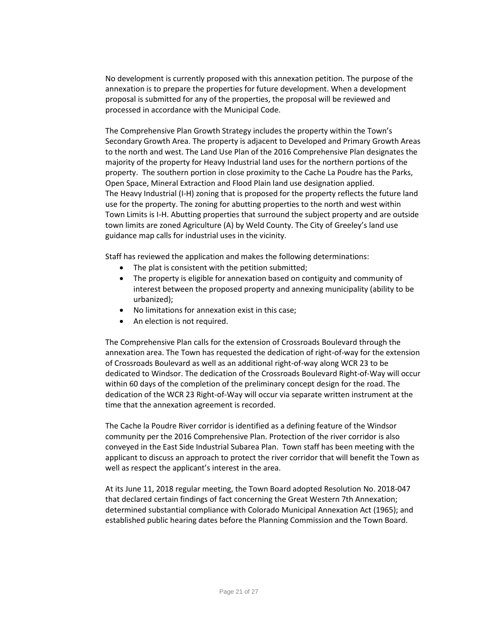No development is currently proposed with this annexation petition. The purpose of the annexation is to prepare the properties for future development. When a development proposal is submitted for any of the properties, the proposal will be reviewed and processed in accordance with the Municipal Code.

The Comprehensive Plan Growth Strategy includes the property within the Town's Secondary Growth Area. The property is adjacent to Developed and Primary Growth Areas to the north and west. The Land Use Plan of the 2016 Comprehensive Plan designates the majority of the property for Heavy Industrial land uses for the northern portions of the property. The southern portion in close proximity to the Cache La Poudre has the Parks, Open Space, Mineral Extraction and Flood Plain land use designation applied. The Heavy Industrial (I-H) zoning that is proposed for the property reflects the future land use for the property. The zoning for abutting properties to the north and west within Town Limits is I-H. Abutting properties that surround the subject property and are outside town limits are zoned Agriculture (A) by Weld County. The City of Greeley's land use guidance map calls for industrial uses in the vicinity.

Staff has reviewed the application and makes the following determinations:

- The plat is consistent with the petition submitted;
- The property is eligible for annexation based on contiguity and community of interest between the proposed property and annexing municipality (ability to be urbanized);
- No limitations for annexation exist in this case;
- An election is not required.

The Comprehensive Plan calls for the extension of Crossroads Boulevard through the annexation area. The Town has requested the dedication of right-of-way for the extension of Crossroads Boulevard as well as an additional right-of-way along WCR 23 to be dedicated to Windsor. The dedication of the Crossroads Boulevard Right-of-Way will occur within 60 days of the completion of the preliminary concept design for the road. The dedication of the WCR 23 Right-of-Way will occur via separate written instrument at the time that the annexation agreement is recorded.

The Cache la Poudre River corridor is identified as a defining feature of the Windsor community per the 2016 Comprehensive Plan. Protection of the river corridor is also conveyed in the East Side Industrial Subarea Plan. Town staff has been meeting with the applicant to discuss an approach to protect the river corridor that will benefit the Town as well as respect the applicant's interest in the area.

At its June 11, 2018 regular meeting, the Town Board adopted Resolution No. 2018-047 that declared certain findings of fact concerning the Great Western 7th Annexation; determined substantial compliance with Colorado Municipal Annexation Act (1965); and established public hearing dates before the Planning Commission and the Town Board.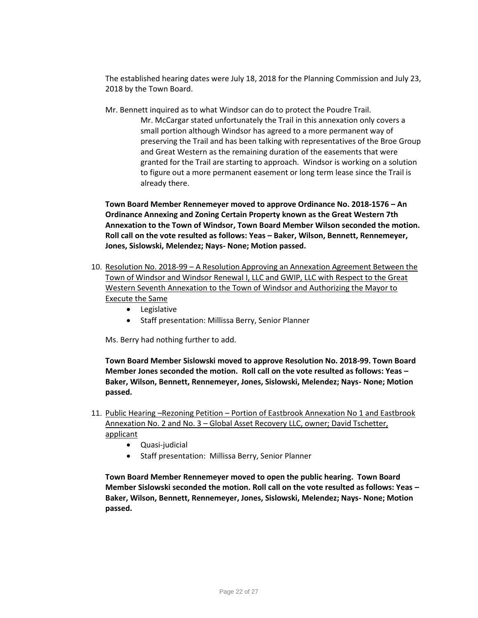The established hearing dates were July 18, 2018 for the Planning Commission and July 23, 2018 by the Town Board.

- Mr. Bennett inquired as to what Windsor can do to protect the Poudre Trail.
	- Mr. McCargar stated unfortunately the Trail in this annexation only covers a small portion although Windsor has agreed to a more permanent way of preserving the Trail and has been talking with representatives of the Broe Group and Great Western as the remaining duration of the easements that were granted for the Trail are starting to approach. Windsor is working on a solution to figure out a more permanent easement or long term lease since the Trail is already there.

**Town Board Member Rennemeyer moved to approve Ordinance No. 2018-1576 – An Ordinance Annexing and Zoning Certain Property known as the Great Western 7th Annexation to the Town of Windsor, Town Board Member Wilson seconded the motion. Roll call on the vote resulted as follows: Yeas – Baker, Wilson, Bennett, Rennemeyer, Jones, Sislowski, Melendez; Nays- None; Motion passed.** 

- 10. Resolution No. 2018-99 A Resolution Approving an Annexation Agreement Between the Town of Windsor and Windsor Renewal I, LLC and GWIP, LLC with Respect to the Great Western Seventh Annexation to the Town of Windsor and Authorizing the Mayor to Execute the Same
	- Legislative
	- Staff presentation: Millissa Berry, Senior Planner

Ms. Berry had nothing further to add.

**Town Board Member Sislowski moved to approve Resolution No. 2018-99. Town Board Member Jones seconded the motion. Roll call on the vote resulted as follows: Yeas – Baker, Wilson, Bennett, Rennemeyer, Jones, Sislowski, Melendez; Nays- None; Motion passed.** 

- 11. Public Hearing –Rezoning Petition Portion of Eastbrook Annexation No 1 and Eastbrook Annexation No. 2 and No. 3 – Global Asset Recovery LLC, owner; David Tschetter, applicant
	- Quasi-judicial
	- Staff presentation: Millissa Berry, Senior Planner

**Town Board Member Rennemeyer moved to open the public hearing. Town Board Member Sislowski seconded the motion. Roll call on the vote resulted as follows: Yeas – Baker, Wilson, Bennett, Rennemeyer, Jones, Sislowski, Melendez; Nays- None; Motion passed.**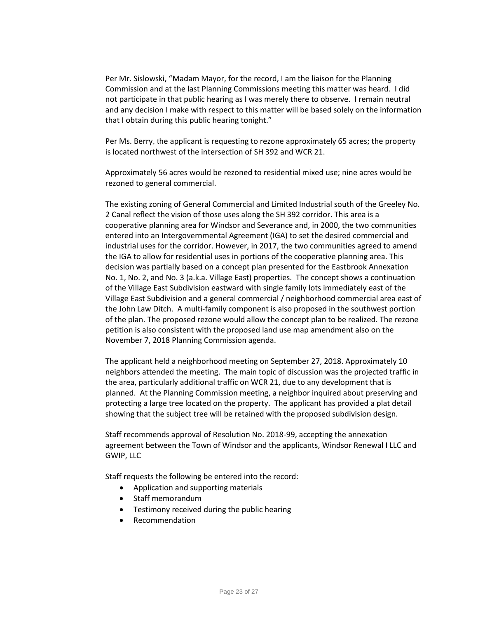Per Mr. Sislowski, "Madam Mayor, for the record, I am the liaison for the Planning Commission and at the last Planning Commissions meeting this matter was heard. I did not participate in that public hearing as I was merely there to observe. I remain neutral and any decision I make with respect to this matter will be based solely on the information that I obtain during this public hearing tonight."

Per Ms. Berry, the applicant is requesting to rezone approximately 65 acres; the property is located northwest of the intersection of SH 392 and WCR 21.

Approximately 56 acres would be rezoned to residential mixed use; nine acres would be rezoned to general commercial.

The existing zoning of General Commercial and Limited Industrial south of the Greeley No. 2 Canal reflect the vision of those uses along the SH 392 corridor. This area is a cooperative planning area for Windsor and Severance and, in 2000, the two communities entered into an Intergovernmental Agreement (IGA) to set the desired commercial and industrial uses for the corridor. However, in 2017, the two communities agreed to amend the IGA to allow for residential uses in portions of the cooperative planning area. This decision was partially based on a concept plan presented for the Eastbrook Annexation No. 1, No. 2, and No. 3 (a.k.a. Village East) properties. The concept shows a continuation of the Village East Subdivision eastward with single family lots immediately east of the Village East Subdivision and a general commercial / neighborhood commercial area east of the John Law Ditch. A multi-family component is also proposed in the southwest portion of the plan. The proposed rezone would allow the concept plan to be realized. The rezone petition is also consistent with the proposed land use map amendment also on the November 7, 2018 Planning Commission agenda.

The applicant held a neighborhood meeting on September 27, 2018. Approximately 10 neighbors attended the meeting. The main topic of discussion was the projected traffic in the area, particularly additional traffic on WCR 21, due to any development that is planned. At the Planning Commission meeting, a neighbor inquired about preserving and protecting a large tree located on the property. The applicant has provided a plat detail showing that the subject tree will be retained with the proposed subdivision design.

Staff recommends approval of Resolution No. 2018-99, accepting the annexation agreement between the Town of Windsor and the applicants, Windsor Renewal I LLC and GWIP, LLC

Staff requests the following be entered into the record:

- Application and supporting materials
- Staff memorandum
- Testimony received during the public hearing
- Recommendation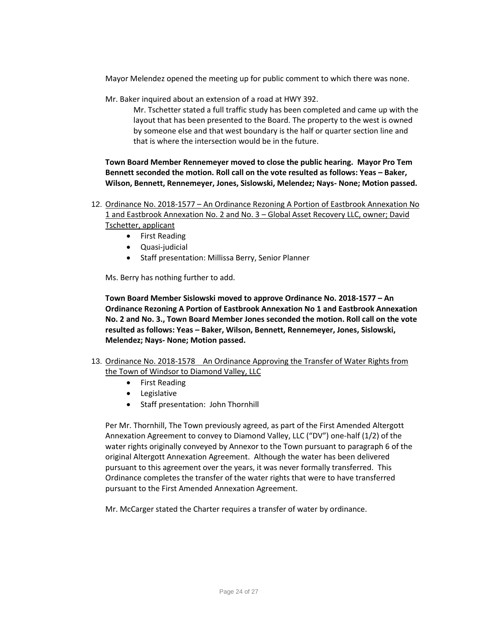Mayor Melendez opened the meeting up for public comment to which there was none.

Mr. Baker inquired about an extension of a road at HWY 392.

Mr. Tschetter stated a full traffic study has been completed and came up with the layout that has been presented to the Board. The property to the west is owned by someone else and that west boundary is the half or quarter section line and that is where the intersection would be in the future.

**Town Board Member Rennemeyer moved to close the public hearing. Mayor Pro Tem Bennett seconded the motion. Roll call on the vote resulted as follows: Yeas - Baker, Wilson, Bennett, Rennemeyer, Jones, Sislowski, Melendez; Nays- None; Motion passed.** 

12. Ordinance No. 2018-1577 – An Ordinance Rezoning A Portion of Eastbrook Annexation No 1 and Eastbrook Annexation No. 2 and No. 3 – Global Asset Recovery LLC, owner; David Tschetter, applicant

- First Reading
- Quasi-judicial
- Staff presentation: Millissa Berry, Senior Planner

Ms. Berry has nothing further to add.

**Town Board Member Sislowski moved to approve Ordinance No. 2018-1577 – An Ordinance Rezoning A Portion of Eastbrook Annexation No 1 and Eastbrook Annexation No. 2 and No. 3., Town Board Member Jones seconded the motion. Roll call on the vote resulted as follows: Yeas – Baker, Wilson, Bennett, Rennemeyer, Jones, Sislowski, Melendez; Nays- None; Motion passed.** 

- 13. Ordinance No. 2018-1578 An Ordinance Approving the Transfer of Water Rights from the Town of Windsor to Diamond Valley, LLC
	- First Reading
	- Legislative
	- Staff presentation: John Thornhill

Per Mr. Thornhill, The Town previously agreed, as part of the First Amended Altergott Annexation Agreement to convey to Diamond Valley, LLC ("DV") one-half (1/2) of the water rights originally conveyed by Annexor to the Town pursuant to paragraph 6 of the original Altergott Annexation Agreement. Although the water has been delivered pursuant to this agreement over the years, it was never formally transferred. This Ordinance completes the transfer of the water rights that were to have transferred pursuant to the First Amended Annexation Agreement.

Mr. McCarger stated the Charter requires a transfer of water by ordinance.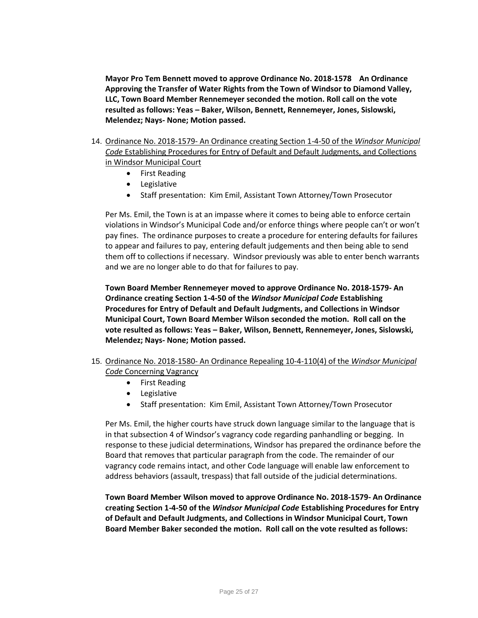**Mayor Pro Tem Bennett moved to approve Ordinance No. 2018-1578 An Ordinance Approving the Transfer of Water Rights from the Town of Windsor to Diamond Valley, LLC, Town Board Member Rennemeyer seconded the motion. Roll call on the vote resulted as follows: Yeas – Baker, Wilson, Bennett, Rennemeyer, Jones, Sislowski, Melendez; Nays- None; Motion passed.** 

- 14. Ordinance No. 2018-1579- An Ordinance creating Section 1-4-50 of the *Windsor Municipal Code* Establishing Procedures for Entry of Default and Default Judgments, and Collections in Windsor Municipal Court
	- **•** First Reading
	- **•** Legislative
	- Staff presentation: Kim Emil, Assistant Town Attorney/Town Prosecutor

Per Ms. Emil, the Town is at an impasse where it comes to being able to enforce certain violations in Windsor's Municipal Code and/or enforce things where people can't or won't pay fines. The ordinance purposes to create a procedure for entering defaults for failures to appear and failures to pay, entering default judgements and then being able to send them off to collections if necessary. Windsor previously was able to enter bench warrants and we are no longer able to do that for failures to pay.

**Town Board Member Rennemeyer moved to approve Ordinance No. 2018-1579- An Ordinance creating Section 1-4-50 of the** *Windsor Municipal Code* **Establishing Procedures for Entry of Default and Default Judgments, and Collections in Windsor Municipal Court, Town Board Member Wilson seconded the motion. Roll call on the vote resulted as follows: Yeas – Baker, Wilson, Bennett, Rennemeyer, Jones, Sislowski, Melendez; Nays- None; Motion passed.** 

- 15. Ordinance No. 2018-1580- An Ordinance Repealing 10-4-110(4) of the *Windsor Municipal Code* Concerning Vagrancy
	- First Reading
		- Legislative
		- Staff presentation: Kim Emil, Assistant Town Attorney/Town Prosecutor

Per Ms. Emil, the higher courts have struck down language similar to the language that is in that subsection 4 of Windsor's vagrancy code regarding panhandling or begging. In response to these judicial determinations, Windsor has prepared the ordinance before the Board that removes that particular paragraph from the code. The remainder of our vagrancy code remains intact, and other Code language will enable law enforcement to address behaviors (assault, trespass) that fall outside of the judicial determinations.

**Town Board Member Wilson moved to approve Ordinance No. 2018-1579- An Ordinance creating Section 1-4-50 of the** *Windsor Municipal Code* **Establishing Procedures for Entry of Default and Default Judgments, and Collections in Windsor Municipal Court, Town Board Member Baker seconded the motion. Roll call on the vote resulted as follows:**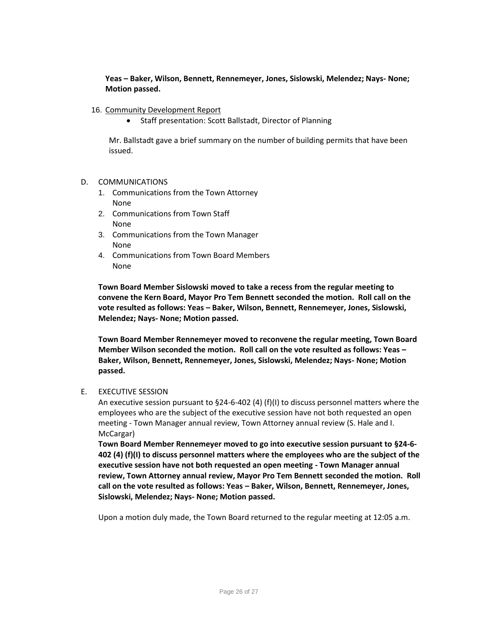**Yeas – Baker, Wilson, Bennett, Rennemeyer, Jones, Sislowski, Melendez; Nays- None; Motion passed.** 

- 16. Community Development Report
	- Staff presentation: Scott Ballstadt, Director of Planning

Mr. Ballstadt gave a brief summary on the number of building permits that have been issued.

#### D. COMMUNICATIONS

- 1. Communications from the Town Attorney None
- 2. Communications from Town Staff None
- 3. Communications from the Town Manager None
- 4. Communications from Town Board Members None

**Town Board Member Sislowski moved to take a recess from the regular meeting to convene the Kern Board, Mayor Pro Tem Bennett seconded the motion. Roll call on the vote resulted as follows: Yeas – Baker, Wilson, Bennett, Rennemeyer, Jones, Sislowski, Melendez; Nays- None; Motion passed.** 

**Town Board Member Rennemeyer moved to reconvene the regular meeting, Town Board Member Wilson seconded the motion. Roll call on the vote resulted as follows: Yeas – Baker, Wilson, Bennett, Rennemeyer, Jones, Sislowski, Melendez; Nays- None; Motion passed.** 

### E. EXECUTIVE SESSION

An executive session pursuant to §24-6-402 (4) (f)(I) to discuss personnel matters where the employees who are the subject of the executive session have not both requested an open meeting - Town Manager annual review, Town Attorney annual review (S. Hale and I. McCargar)

**Town Board Member Rennemeyer moved to go into executive session pursuant to §24-6- 402 (4) (f)(I) to discuss personnel matters where the employees who are the subject of the executive session have not both requested an open meeting - Town Manager annual review, Town Attorney annual review, Mayor Pro Tem Bennett seconded the motion. Roll call on the vote resulted as follows: Yeas – Baker, Wilson, Bennett, Rennemeyer, Jones, Sislowski, Melendez; Nays- None; Motion passed.** 

Upon a motion duly made, the Town Board returned to the regular meeting at 12:05 a.m.